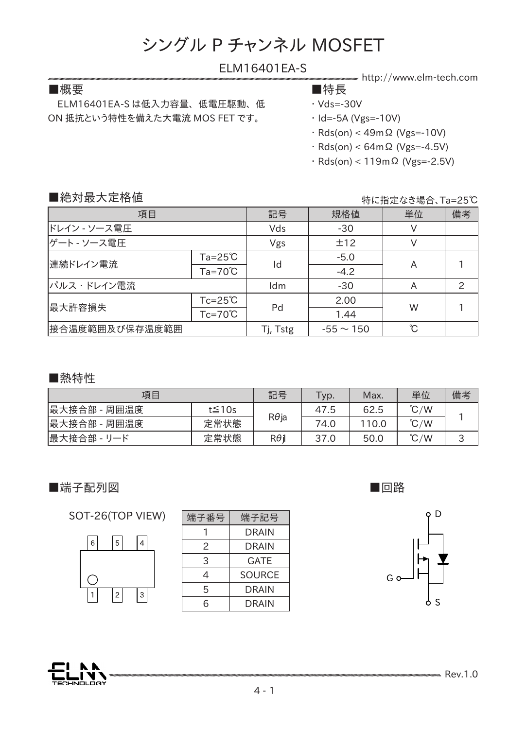# ELM16401EA-S

### ■概要 ■特長

 ELM16401EA-S は低入力容量、 低電圧駆動、 低 ON 抵抗という特性を備えた大電流 MOS FET です。

- http://www.elm-tech.com
- ・ Vds=-30V
- ・ Id=-5A (Vgs=-10V)
- 
- ・ Rds(on) < 49mΩ (Vgs=-10V)
- ・ Rds(on) < 64mΩ (Vgs=-4.5V)
- ・ Rds(on) < 119mΩ (Vgs=-2.5V)

### ■絶対最大定格値

特に指定なき場合、Ta=25℃

| 項目             |                    | 記号       | 規格値            | 単位 | 備考            |
|----------------|--------------------|----------|----------------|----|---------------|
| ドレイン - ソース電圧   |                    | Vds      | $-30$          |    |               |
| ゲート - ソース電圧    |                    | Vgs      | ±12            |    |               |
| 連続ドレイン電流       | $Ta = 25^{\circ}C$ | Id       | $-5.0$         |    |               |
|                | $Ta=70^{\circ}C$   |          | $-4.2$         | A  |               |
| パルス・ドレイン電流     |                    | Idm      | $-30$          | A  | $\mathcal{P}$ |
| 最大許容損失         | $Tc = 25^{\circ}C$ |          | 2.00           |    |               |
|                | $Tc=70^{\circ}C$   | Pd       | 1.44           | W  |               |
| 接合温度範囲及び保存温度範囲 |                    | Tj, Tstg | $-55 \sim 150$ | °C |               |

#### ■熱特性

| 項目           |              | 記号           | Typ. | Max.  | 単位            | 備考     |
|--------------|--------------|--------------|------|-------|---------------|--------|
| 最大接合部 - 周囲温度 | $t \leq 10s$ |              | 47.5 | 62.5  | $\degree$ C/W |        |
| 最大接合部 - 周囲温度 | 定常状態         | $R\theta$ ja | 74.0 | 110.0 | $\degree$ C/W |        |
| 最大接合部 - リード  | 定常状態         | $R\theta$ i  | 37.0 | 50.0  | $\degree$ C/W | っ<br>پ |

# ■端子配列図

SOT-26(TOP VIEW)



| 端子番号 | 端子記号          |  |  |
|------|---------------|--|--|
|      | <b>DRAIN</b>  |  |  |
| 2    | DRAIN         |  |  |
| 3    | GATE          |  |  |
| 4    | <b>SOURCE</b> |  |  |
| 5    | DRAIN         |  |  |
| 6    | DRAIN         |  |  |

■回路





**Rev.1.0**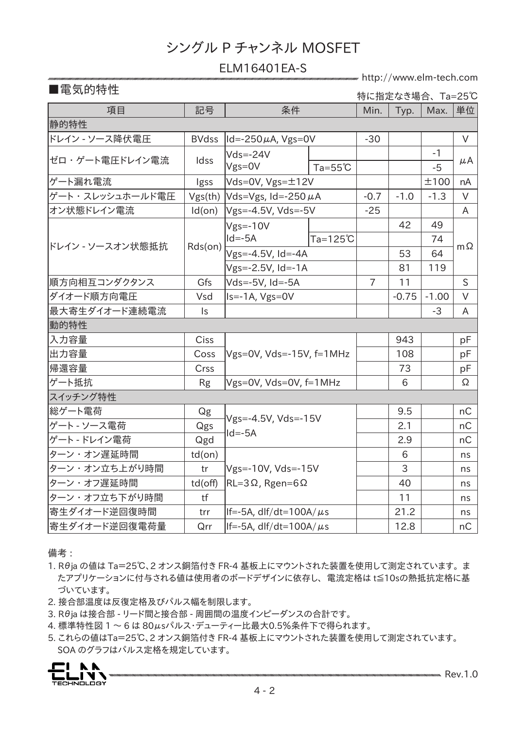### ELM16401EA-S

http://www.elm-tech.com

# ■電気的特性

特に指定なき場合、 Ta=25℃

| 項目               | 記号             | 条件                                                     |                    | Min.           | Typ.    | Max.    | 単位        |  |
|------------------|----------------|--------------------------------------------------------|--------------------|----------------|---------|---------|-----------|--|
| 静的特性             |                |                                                        |                    |                |         |         |           |  |
| ドレイン - ソース降伏電圧   | <b>BVdss</b>   | $ Id = -250 \mu A$ , Vgs=0V                            |                    | $-30$          |         |         | $\vee$    |  |
| ゼロ・ゲート電圧ドレイン電流   | Idss           | $Vds = -24V$                                           |                    |                |         | $-1$    |           |  |
|                  |                | Vgs=0V                                                 | $Ta = 55^{\circ}C$ |                |         | $-5$    | μA        |  |
| ゲート漏れ電流          | Igss           | Vds=0V, $Vgs = ±12V$                                   |                    |                |         | ±100    | nA        |  |
| ゲート・スレッシュホールド電圧  | Vgs(th)        | $Vds=Vgs$ , Id=-250 $\mu$ A                            |                    | $-0.7$         | $-1.0$  | $-1.3$  | $\vee$    |  |
| オン状態ドレイン電流       | Id(on)         | $Vgs = -4.5V$ , $Vds = -5V$                            |                    | $-25$          |         |         | A         |  |
| ドレイン - ソースオン状態抵抗 | Rds(on)        | $Vgs = -10V$                                           |                    |                | 42      | 49      |           |  |
|                  |                | $Id = -5A$                                             | $Ta=125^{\circ}C$  |                |         | 74      |           |  |
|                  |                | $Vgs = -4.5V$ , Id=-4A                                 |                    |                | 53      | 64      | $m\Omega$ |  |
|                  |                | $Vgs = -2.5V$ , Id=-1A                                 |                    |                | 81      | 119     |           |  |
| 順方向相互コンダクタンス     | Gfs            | Vds=-5V, Id=-5A                                        |                    | $\overline{7}$ | 11      |         | S         |  |
| ダイオード順方向電圧       | Vsd            | Is=-1A, Vgs=0V                                         |                    |                | $-0.75$ | $-1.00$ | $\vee$    |  |
| 最大寄生ダイオード連続電流    | $\mathsf{I}$ s |                                                        |                    |                |         | $-3$    | A         |  |
| 動的特性             |                |                                                        |                    |                |         |         |           |  |
| 入力容量             | <b>Ciss</b>    | $Vgs=0V$ , $Vds=-15V$ , $f=1MHz$                       |                    |                | 943     |         | pF        |  |
| 出力容量             | Coss           |                                                        |                    |                | 108     |         | pF        |  |
| 帰還容量             | Crss           |                                                        |                    |                | 73      |         | pF        |  |
| ゲート抵抗            | <b>Rg</b>      | Vgs=0V, Vds=0V, f=1MHz                                 |                    |                | 6       |         | Ω         |  |
| スイッチング特性         |                |                                                        |                    |                |         |         |           |  |
| 総ゲート電荷           | Qg             | Vgs=-4.5V, Vds=-15V<br>$Id = -5A$                      |                    |                | 9.5     |         | nC        |  |
| ゲート - ソース電荷      | Qgs            |                                                        |                    |                | 2.1     |         | nC        |  |
| ゲート - ドレイン電荷     | Qgd            |                                                        |                    |                | 2.9     |         | nC        |  |
| ターン・オン遅延時間       | $td($ on $)$   | Vgs=-10V, Vds=-15V<br>$RL = 3\Omega$ , Rgen=6 $\Omega$ |                    |                | 6       |         | ns        |  |
| ターン・オン立ち上がり時間    | tr             |                                                        |                    |                | 3       |         | ns        |  |
| ターン・オフ遅延時間       | $td($ off $)$  |                                                        |                    |                | 40      |         | ns        |  |
| ターン・オフ立ち下がり時間    | tf             |                                                        |                    |                | 11      |         | ns        |  |
| 寄生ダイオード逆回復時間     | trr            | $ $ If=-5A, dlf/dt=100A/ $\mu$ s                       |                    |                | 21.2    |         | ns        |  |
| 寄生ダイオード逆回復電荷量    | Qrr            | $ $ If=-5A, dlf/dt=100A/ $\mu$ s                       |                    |                | 12.8    |         | nC        |  |

備考 :

- 1. Rθja の値は Ta=25℃、2 オンス銅箔付き FR-4 基板上にマウントされた装置を使用して測定されています。 ま たアプリケーションに付与される値は使用者のボードデザインに依存し、 電流定格は t≦10sの熱抵抗定格に基 づいています。
- 2. 接合部温度は反復定格及びパルス幅を制限します。
- 3. Rθja は接合部 リード間と接合部 周囲間の温度インピーダンスの合計です。
- 4. 標準特性図 1 ~ 6 は 80μsパルス・デューティー比最大0.5%条件下で得られます。
- 5. これらの値はTa=25℃、2 オンス銅箔付き FR-4 基板上にマウントされた装置を使用して測定されています。 SOA のグラフはパルス定格を規定しています。

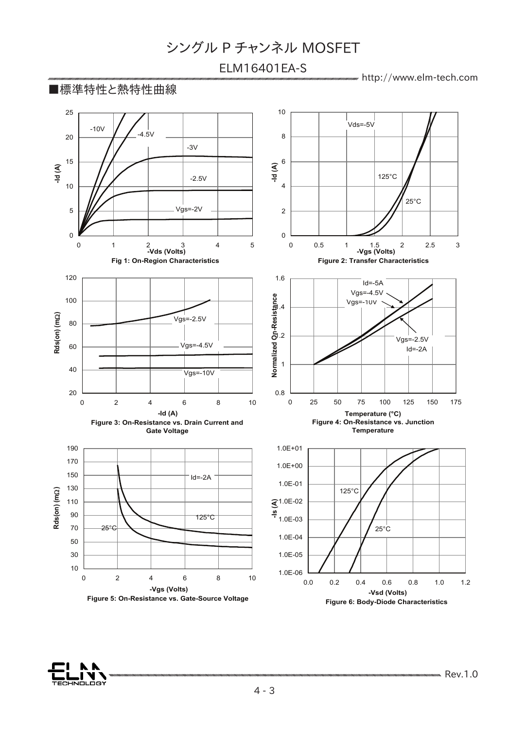# ELM16401EA-S

http://www.elm-tech.com



ЕСНКОLОВҮ